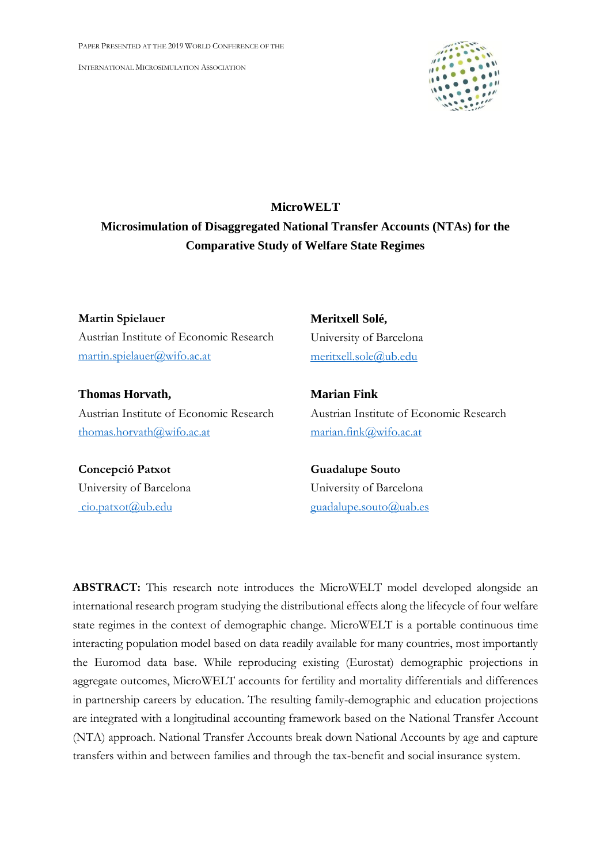PAPER PRESENTED AT THE 2019 WORLD CONFERENCE OF THE

INTERNATIONAL MICROSIMULATION ASSOCIATION



## **MicroWELT**

# **Microsimulation of Disaggregated National Transfer Accounts (NTAs) for the Comparative Study of Welfare State Regimes**

**Martin Spielauer** Austrian Institute of Economic Research [martin.spielauer@wifo.ac.at](mailto:martin.spielauer@wifo.ac.at)

**Thomas Horvath,**  Austrian Institute of Economic Research [thomas.horvath@wifo.ac.at](mailto:thomas.horvath@wifo.ac.at)

**Meritxell Solé,**  University of Barcelona [meritxell.sole@ub.edu](mailto:meritxell.sole@ub.edu)

**Marian Fink**  Austrian Institute of Economic Research [marian.fink@wifo.ac.at](mailto:marian.fink@wifo.ac.at)

**Concepció Patxot** University of Barcelona [cio.patxot@ub.edu](mailto:%20cio.patxot@ub.edu)

**Guadalupe Souto** University of Barcelona [guadalupe.souto@uab.es](mailto:guadalupe.souto@uab.es)

**ABSTRACT:** This research note introduces the MicroWELT model developed alongside an international research program studying the distributional effects along the lifecycle of four welfare state regimes in the context of demographic change. MicroWELT is a portable continuous time interacting population model based on data readily available for many countries, most importantly the Euromod data base. While reproducing existing (Eurostat) demographic projections in aggregate outcomes, MicroWELT accounts for fertility and mortality differentials and differences in partnership careers by education. The resulting family-demographic and education projections are integrated with a longitudinal accounting framework based on the National Transfer Account (NTA) approach. National Transfer Accounts break down National Accounts by age and capture transfers within and between families and through the tax-benefit and social insurance system.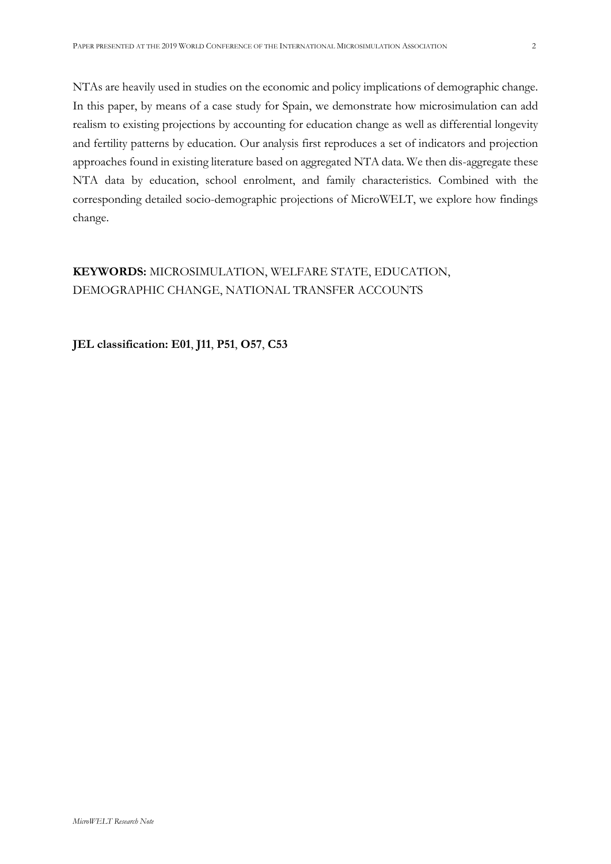NTAs are heavily used in studies on the economic and policy implications of demographic change. In this paper, by means of a case study for Spain, we demonstrate how microsimulation can add realism to existing projections by accounting for education change as well as differential longevity and fertility patterns by education. Our analysis first reproduces a set of indicators and projection approaches found in existing literature based on aggregated NTA data. We then dis-aggregate these NTA data by education, school enrolment, and family characteristics. Combined with the corresponding detailed socio-demographic projections of MicroWELT, we explore how findings change.

# **KEYWORDS:** MICROSIMULATION, WELFARE STATE, EDUCATION, DEMOGRAPHIC CHANGE, NATIONAL TRANSFER ACCOUNTS

**JEL classification: E01**, **J11**, **P51**, **O57**, **C53**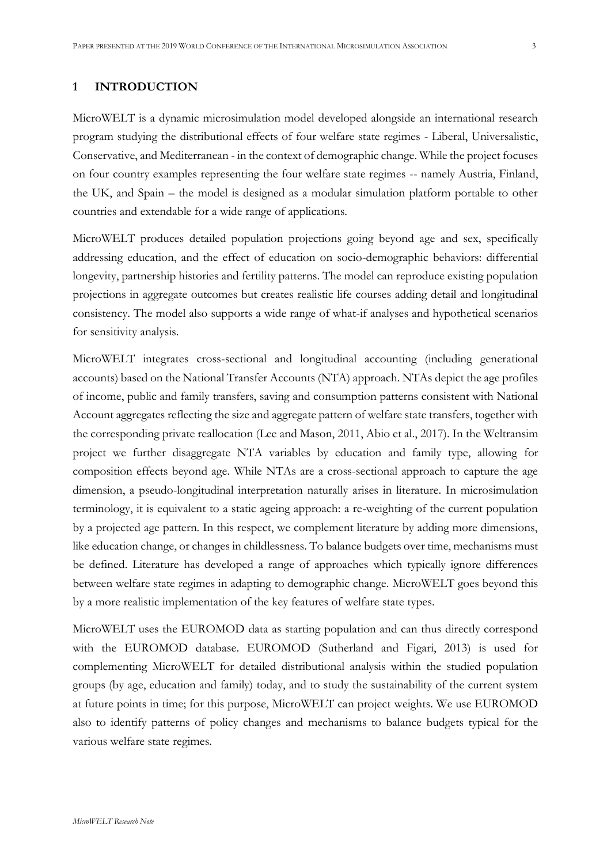## **1 INTRODUCTION**

MicroWELT is a dynamic microsimulation model developed alongside an international research program studying the distributional effects of four welfare state regimes - Liberal, Universalistic, Conservative, and Mediterranean - in the context of demographic change. While the project focuses on four country examples representing the four welfare state regimes -- namely Austria, Finland, the UK, and Spain – the model is designed as a modular simulation platform portable to other countries and extendable for a wide range of applications.

MicroWELT produces detailed population projections going beyond age and sex, specifically addressing education, and the effect of education on socio-demographic behaviors: differential longevity, partnership histories and fertility patterns. The model can reproduce existing population projections in aggregate outcomes but creates realistic life courses adding detail and longitudinal consistency. The model also supports a wide range of what-if analyses and hypothetical scenarios for sensitivity analysis.

MicroWELT integrates cross-sectional and longitudinal accounting (including generational accounts) based on the National Transfer Accounts (NTA) approach. NTAs depict the age profiles of income, public and family transfers, saving and consumption patterns consistent with National Account aggregates reflecting the size and aggregate pattern of welfare state transfers, together with the corresponding private reallocation (Lee and Mason, 2011, Abio et al., 2017). In the Weltransim project we further disaggregate NTA variables by education and family type, allowing for composition effects beyond age. While NTAs are a cross-sectional approach to capture the age dimension, a pseudo-longitudinal interpretation naturally arises in literature. In microsimulation terminology, it is equivalent to a static ageing approach: a re-weighting of the current population by a projected age pattern. In this respect, we complement literature by adding more dimensions, like education change, or changes in childlessness. To balance budgets over time, mechanisms must be defined. Literature has developed a range of approaches which typically ignore differences between welfare state regimes in adapting to demographic change. MicroWELT goes beyond this by a more realistic implementation of the key features of welfare state types.

MicroWELT uses the EUROMOD data as starting population and can thus directly correspond with the EUROMOD database. EUROMOD (Sutherland and Figari, 2013) is used for complementing MicroWELT for detailed distributional analysis within the studied population groups (by age, education and family) today, and to study the sustainability of the current system at future points in time; for this purpose, MicroWELT can project weights. We use EUROMOD also to identify patterns of policy changes and mechanisms to balance budgets typical for the various welfare state regimes.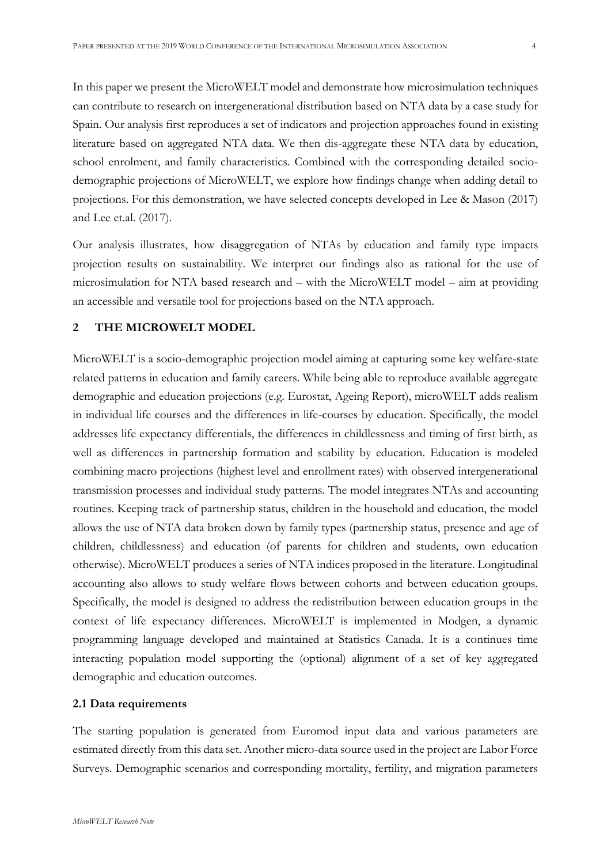In this paper we present the MicroWELT model and demonstrate how microsimulation techniques can contribute to research on intergenerational distribution based on NTA data by a case study for Spain. Our analysis first reproduces a set of indicators and projection approaches found in existing literature based on aggregated NTA data. We then dis-aggregate these NTA data by education, school enrolment, and family characteristics. Combined with the corresponding detailed sociodemographic projections of MicroWELT, we explore how findings change when adding detail to projections. For this demonstration, we have selected concepts developed in Lee & Mason (2017) and Lee et.al. (2017).

Our analysis illustrates, how disaggregation of NTAs by education and family type impacts projection results on sustainability. We interpret our findings also as rational for the use of microsimulation for NTA based research and – with the MicroWELT model – aim at providing an accessible and versatile tool for projections based on the NTA approach.

#### **2 THE MICROWELT MODEL**

MicroWELT is a socio-demographic projection model aiming at capturing some key welfare-state related patterns in education and family careers. While being able to reproduce available aggregate demographic and education projections (e.g. Eurostat, Ageing Report), microWELT adds realism in individual life courses and the differences in life-courses by education. Specifically, the model addresses life expectancy differentials, the differences in childlessness and timing of first birth, as well as differences in partnership formation and stability by education. Education is modeled combining macro projections (highest level and enrollment rates) with observed intergenerational transmission processes and individual study patterns. The model integrates NTAs and accounting routines. Keeping track of partnership status, children in the household and education, the model allows the use of NTA data broken down by family types (partnership status, presence and age of children, childlessness) and education (of parents for children and students, own education otherwise). MicroWELT produces a series of NTA indices proposed in the literature. Longitudinal accounting also allows to study welfare flows between cohorts and between education groups. Specifically, the model is designed to address the redistribution between education groups in the context of life expectancy differences. MicroWELT is implemented in Modgen, a dynamic programming language developed and maintained at Statistics Canada. It is a continues time interacting population model supporting the (optional) alignment of a set of key aggregated demographic and education outcomes.

#### **2.1 Data requirements**

The starting population is generated from Euromod input data and various parameters are estimated directly from this data set. Another micro-data source used in the project are Labor Force Surveys. Demographic scenarios and corresponding mortality, fertility, and migration parameters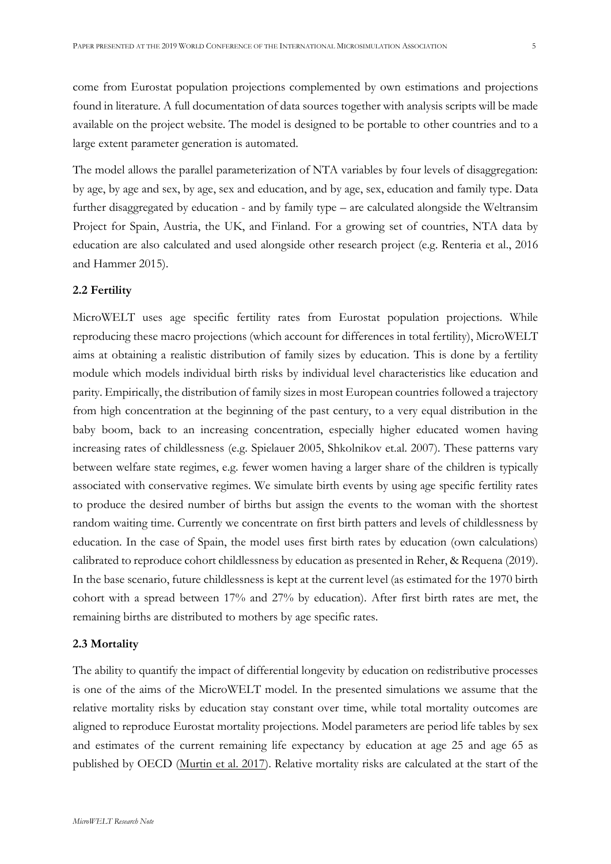come from Eurostat population projections complemented by own estimations and projections found in literature. A full documentation of data sources together with analysis scripts will be made available on the project website. The model is designed to be portable to other countries and to a large extent parameter generation is automated.

The model allows the parallel parameterization of NTA variables by four levels of disaggregation: by age, by age and sex, by age, sex and education, and by age, sex, education and family type. Data further disaggregated by education - and by family type – are calculated alongside the Weltransim Project for Spain, Austria, the UK, and Finland. For a growing set of countries, NTA data by education are also calculated and used alongside other research project (e.g. Renteria et al., 2016 and Hammer 2015).

#### **2.2 Fertility**

MicroWELT uses age specific fertility rates from Eurostat population projections. While reproducing these macro projections (which account for differences in total fertility), MicroWELT aims at obtaining a realistic distribution of family sizes by education. This is done by a fertility module which models individual birth risks by individual level characteristics like education and parity. Empirically, the distribution of family sizes in most European countries followed a trajectory from high concentration at the beginning of the past century, to a very equal distribution in the baby boom, back to an increasing concentration, especially higher educated women having increasing rates of childlessness (e.g. Spielauer 2005, Shkolnikov et.al. 2007). These patterns vary between welfare state regimes, e.g. fewer women having a larger share of the children is typically associated with conservative regimes. We simulate birth events by using age specific fertility rates to produce the desired number of births but assign the events to the woman with the shortest random waiting time. Currently we concentrate on first birth patters and levels of childlessness by education. In the case of Spain, the model uses first birth rates by education (own calculations) calibrated to reproduce cohort childlessness by education as presented in Reher, & Requena (2019). In the base scenario, future childlessness is kept at the current level (as estimated for the 1970 birth cohort with a spread between 17% and 27% by education). After first birth rates are met, the remaining births are distributed to mothers by age specific rates.

#### **2.3 Mortality**

The ability to quantify the impact of differential longevity by education on redistributive processes is one of the aims of the MicroWELT model. In the presented simulations we assume that the relative mortality risks by education stay constant over time, while total mortality outcomes are aligned to reproduce Eurostat mortality projections. Model parameters are period life tables by sex and estimates of the current remaining life expectancy by education at age 25 and age 65 as published by OECD (Murtin et al. 2017). Relative mortality risks are calculated at the start of the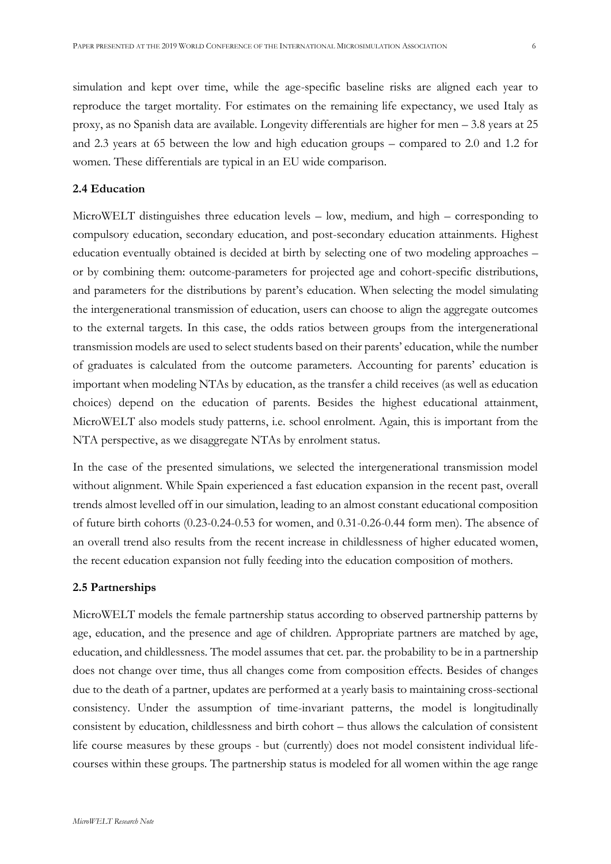simulation and kept over time, while the age-specific baseline risks are aligned each year to reproduce the target mortality. For estimates on the remaining life expectancy, we used Italy as proxy, as no Spanish data are available. Longevity differentials are higher for men – 3.8 years at 25 and 2.3 years at 65 between the low and high education groups – compared to 2.0 and 1.2 for women. These differentials are typical in an EU wide comparison.

#### **2.4 Education**

MicroWELT distinguishes three education levels – low, medium, and high – corresponding to compulsory education, secondary education, and post-secondary education attainments. Highest education eventually obtained is decided at birth by selecting one of two modeling approaches – or by combining them: outcome-parameters for projected age and cohort-specific distributions, and parameters for the distributions by parent's education. When selecting the model simulating the intergenerational transmission of education, users can choose to align the aggregate outcomes to the external targets. In this case, the odds ratios between groups from the intergenerational transmission models are used to select students based on their parents' education, while the number of graduates is calculated from the outcome parameters. Accounting for parents' education is important when modeling NTAs by education, as the transfer a child receives (as well as education choices) depend on the education of parents. Besides the highest educational attainment, MicroWELT also models study patterns, i.e. school enrolment. Again, this is important from the NTA perspective, as we disaggregate NTAs by enrolment status.

In the case of the presented simulations, we selected the intergenerational transmission model without alignment. While Spain experienced a fast education expansion in the recent past, overall trends almost levelled off in our simulation, leading to an almost constant educational composition of future birth cohorts (0.23-0.24-0.53 for women, and 0.31-0.26-0.44 form men). The absence of an overall trend also results from the recent increase in childlessness of higher educated women, the recent education expansion not fully feeding into the education composition of mothers.

#### **2.5 Partnerships**

MicroWELT models the female partnership status according to observed partnership patterns by age, education, and the presence and age of children. Appropriate partners are matched by age, education, and childlessness. The model assumes that cet. par. the probability to be in a partnership does not change over time, thus all changes come from composition effects. Besides of changes due to the death of a partner, updates are performed at a yearly basis to maintaining cross-sectional consistency. Under the assumption of time-invariant patterns, the model is longitudinally consistent by education, childlessness and birth cohort – thus allows the calculation of consistent life course measures by these groups - but (currently) does not model consistent individual lifecourses within these groups. The partnership status is modeled for all women within the age range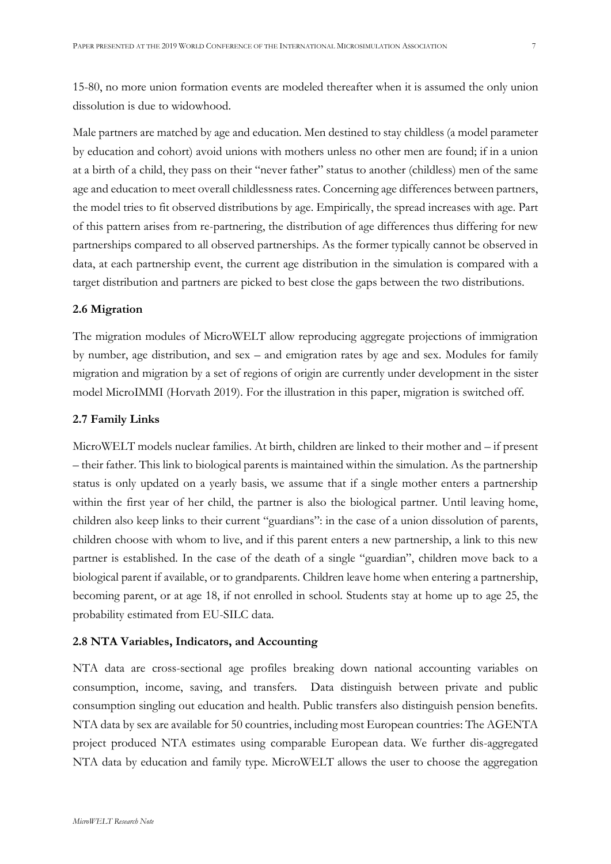15-80, no more union formation events are modeled thereafter when it is assumed the only union dissolution is due to widowhood.

Male partners are matched by age and education. Men destined to stay childless (a model parameter by education and cohort) avoid unions with mothers unless no other men are found; if in a union at a birth of a child, they pass on their "never father" status to another (childless) men of the same age and education to meet overall childlessness rates. Concerning age differences between partners, the model tries to fit observed distributions by age. Empirically, the spread increases with age. Part of this pattern arises from re-partnering, the distribution of age differences thus differing for new partnerships compared to all observed partnerships. As the former typically cannot be observed in data, at each partnership event, the current age distribution in the simulation is compared with a target distribution and partners are picked to best close the gaps between the two distributions.

## **2.6 Migration**

The migration modules of MicroWELT allow reproducing aggregate projections of immigration by number, age distribution, and sex – and emigration rates by age and sex. Modules for family migration and migration by a set of regions of origin are currently under development in the sister model MicroIMMI (Horvath 2019). For the illustration in this paper, migration is switched off.

#### **2.7 Family Links**

MicroWELT models nuclear families. At birth, children are linked to their mother and – if present – their father. This link to biological parents is maintained within the simulation. As the partnership status is only updated on a yearly basis, we assume that if a single mother enters a partnership within the first year of her child, the partner is also the biological partner. Until leaving home, children also keep links to their current "guardians": in the case of a union dissolution of parents, children choose with whom to live, and if this parent enters a new partnership, a link to this new partner is established. In the case of the death of a single "guardian", children move back to a biological parent if available, or to grandparents. Children leave home when entering a partnership, becoming parent, or at age 18, if not enrolled in school. Students stay at home up to age 25, the probability estimated from EU-SILC data.

#### **2.8 NTA Variables, Indicators, and Accounting**

NTA data are cross-sectional age profiles breaking down national accounting variables on consumption, income, saving, and transfers. Data distinguish between private and public consumption singling out education and health. Public transfers also distinguish pension benefits. NTA data by sex are available for 50 countries, including most European countries: The AGENTA project produced NTA estimates using comparable European data. We further dis-aggregated NTA data by education and family type. MicroWELT allows the user to choose the aggregation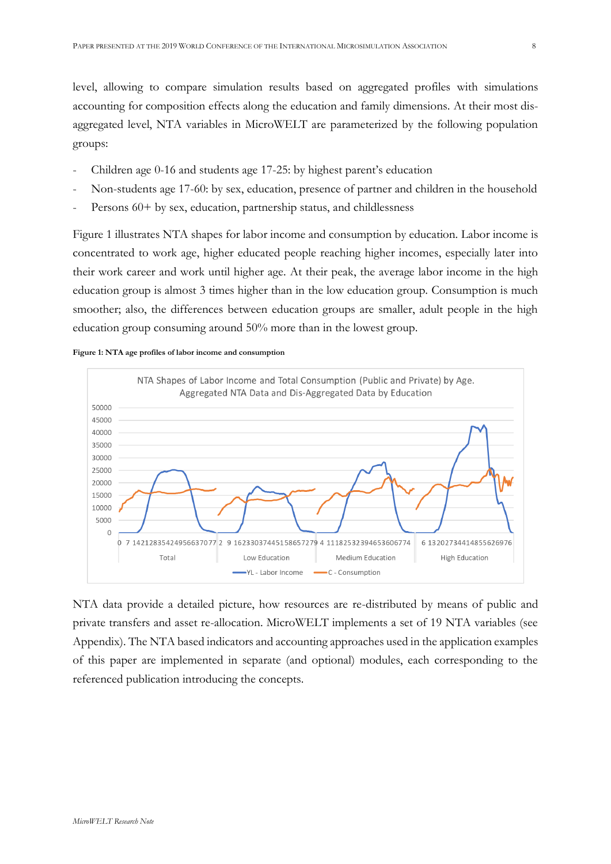level, allowing to compare simulation results based on aggregated profiles with simulations accounting for composition effects along the education and family dimensions. At their most disaggregated level, NTA variables in MicroWELT are parameterized by the following population groups:

- Children age 0-16 and students age 17-25: by highest parent's education
- Non-students age 17-60: by sex, education, presence of partner and children in the household
- Persons 60+ by sex, education, partnership status, and childlessness

Figure 1 illustrates NTA shapes for labor income and consumption by education. Labor income is concentrated to work age, higher educated people reaching higher incomes, especially later into their work career and work until higher age. At their peak, the average labor income in the high education group is almost 3 times higher than in the low education group. Consumption is much smoother; also, the differences between education groups are smaller, adult people in the high education group consuming around 50% more than in the lowest group.

#### **Figure 1: NTA age profiles of labor income and consumption**



NTA data provide a detailed picture, how resources are re-distributed by means of public and private transfers and asset re-allocation. MicroWELT implements a set of 19 NTA variables (see Appendix). The NTA based indicators and accounting approaches used in the application examples of this paper are implemented in separate (and optional) modules, each corresponding to the referenced publication introducing the concepts.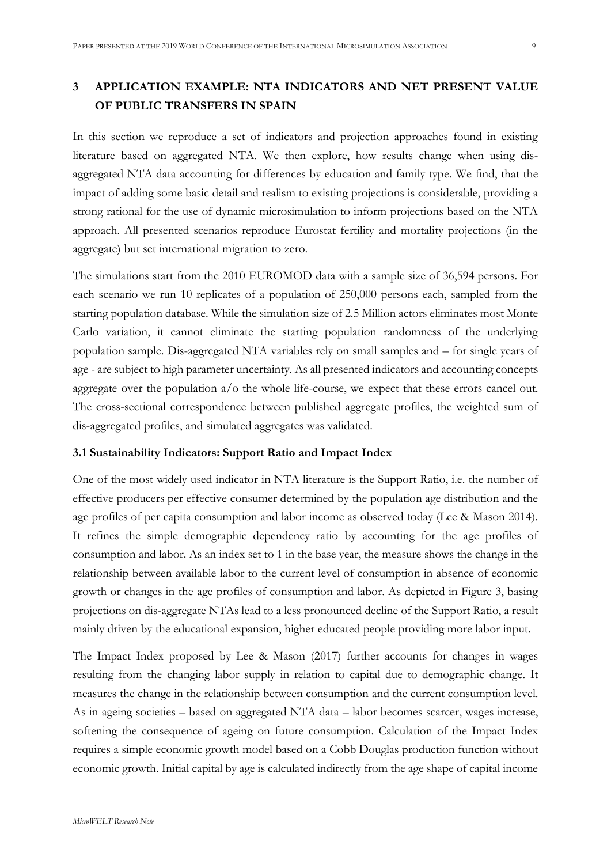# **3 APPLICATION EXAMPLE: NTA INDICATORS AND NET PRESENT VALUE OF PUBLIC TRANSFERS IN SPAIN**

In this section we reproduce a set of indicators and projection approaches found in existing literature based on aggregated NTA. We then explore, how results change when using disaggregated NTA data accounting for differences by education and family type. We find, that the impact of adding some basic detail and realism to existing projections is considerable, providing a strong rational for the use of dynamic microsimulation to inform projections based on the NTA approach. All presented scenarios reproduce Eurostat fertility and mortality projections (in the aggregate) but set international migration to zero.

The simulations start from the 2010 EUROMOD data with a sample size of 36,594 persons. For each scenario we run 10 replicates of a population of 250,000 persons each, sampled from the starting population database. While the simulation size of 2.5 Million actors eliminates most Monte Carlo variation, it cannot eliminate the starting population randomness of the underlying population sample. Dis-aggregated NTA variables rely on small samples and – for single years of age - are subject to high parameter uncertainty. As all presented indicators and accounting concepts aggregate over the population a/o the whole life-course, we expect that these errors cancel out. The cross-sectional correspondence between published aggregate profiles, the weighted sum of dis-aggregated profiles, and simulated aggregates was validated.

#### **3.1 Sustainability Indicators: Support Ratio and Impact Index**

One of the most widely used indicator in NTA literature is the Support Ratio, i.e. the number of effective producers per effective consumer determined by the population age distribution and the age profiles of per capita consumption and labor income as observed today (Lee & Mason 2014). It refines the simple demographic dependency ratio by accounting for the age profiles of consumption and labor. As an index set to 1 in the base year, the measure shows the change in the relationship between available labor to the current level of consumption in absence of economic growth or changes in the age profiles of consumption and labor. As depicted in Figure 3, basing projections on dis-aggregate NTAs lead to a less pronounced decline of the Support Ratio, a result mainly driven by the educational expansion, higher educated people providing more labor input.

The Impact Index proposed by Lee & Mason (2017) further accounts for changes in wages resulting from the changing labor supply in relation to capital due to demographic change. It measures the change in the relationship between consumption and the current consumption level. As in ageing societies – based on aggregated NTA data – labor becomes scarcer, wages increase, softening the consequence of ageing on future consumption. Calculation of the Impact Index requires a simple economic growth model based on a Cobb Douglas production function without economic growth. Initial capital by age is calculated indirectly from the age shape of capital income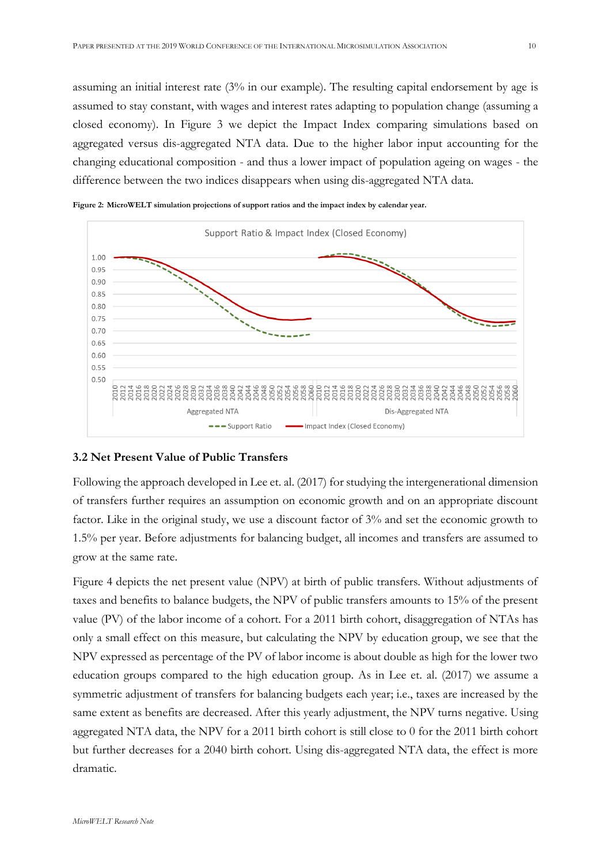assuming an initial interest rate (3% in our example). The resulting capital endorsement by age is assumed to stay constant, with wages and interest rates adapting to population change (assuming a closed economy). In Figure 3 we depict the Impact Index comparing simulations based on aggregated versus dis-aggregated NTA data. Due to the higher labor input accounting for the changing educational composition - and thus a lower impact of population ageing on wages - the difference between the two indices disappears when using dis-aggregated NTA data.



**Figure 2: MicroWELT simulation projections of support ratios and the impact index by calendar year.**

#### **3.2 Net Present Value of Public Transfers**

Following the approach developed in Lee et. al. (2017) for studying the intergenerational dimension of transfers further requires an assumption on economic growth and on an appropriate discount factor. Like in the original study, we use a discount factor of 3% and set the economic growth to 1.5% per year. Before adjustments for balancing budget, all incomes and transfers are assumed to grow at the same rate.

Figure 4 depicts the net present value (NPV) at birth of public transfers. Without adjustments of taxes and benefits to balance budgets, the NPV of public transfers amounts to 15% of the present value (PV) of the labor income of a cohort. For a 2011 birth cohort, disaggregation of NTAs has only a small effect on this measure, but calculating the NPV by education group, we see that the NPV expressed as percentage of the PV of labor income is about double as high for the lower two education groups compared to the high education group. As in Lee et. al. (2017) we assume a symmetric adjustment of transfers for balancing budgets each year; i.e., taxes are increased by the same extent as benefits are decreased. After this yearly adjustment, the NPV turns negative. Using aggregated NTA data, the NPV for a 2011 birth cohort is still close to 0 for the 2011 birth cohort but further decreases for a 2040 birth cohort. Using dis-aggregated NTA data, the effect is more dramatic.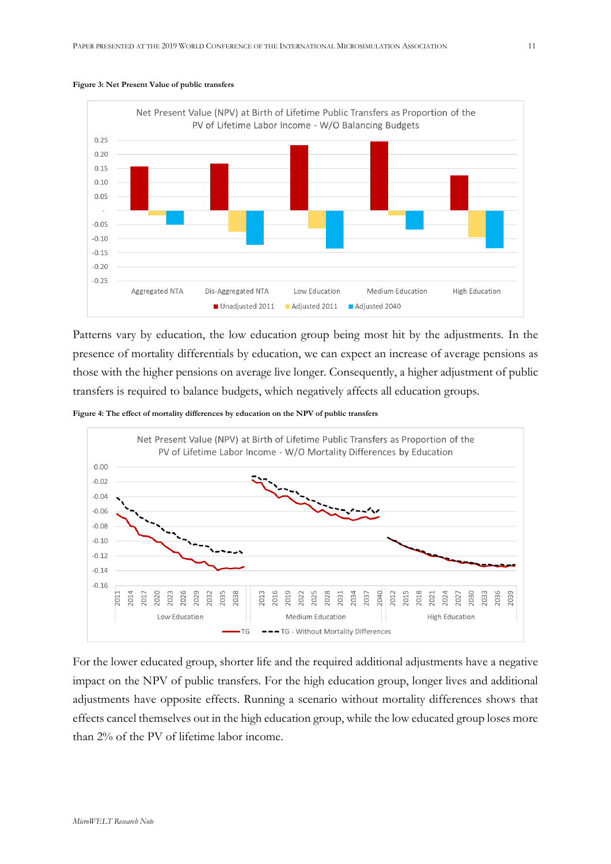



Patterns vary by education, the low education group being most hit by the adjustments. In the presence of mortality differentials by education, we can expect an increase of average pensions as those with the higher pensions on average live longer. Consequently, a higher adjustment of public transfers is required to balance budgets, which negatively affects all education groups.

**Figure 4: The effect of mortality differences by education on the NPV of public transfers**



For the lower educated group, shorter life and the required additional adjustments have a negative impact on the NPV of public transfers. For the high education group, longer lives and additional adjustments have opposite effects. Running a scenario without mortality differences shows that effects cancel themselves out in the high education group, while the low educated group loses more than 2% of the PV of lifetime labor income.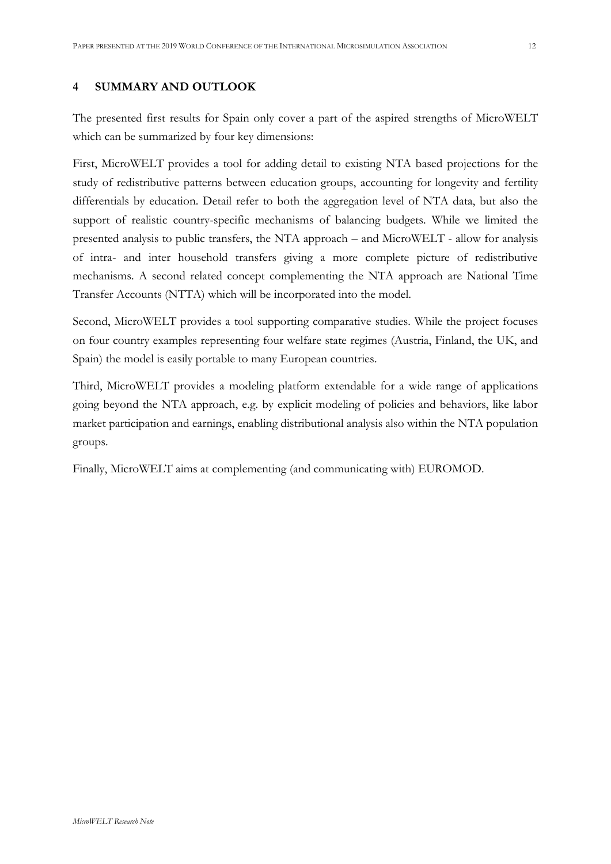## **4 SUMMARY AND OUTLOOK**

The presented first results for Spain only cover a part of the aspired strengths of MicroWELT which can be summarized by four key dimensions:

First, MicroWELT provides a tool for adding detail to existing NTA based projections for the study of redistributive patterns between education groups, accounting for longevity and fertility differentials by education. Detail refer to both the aggregation level of NTA data, but also the support of realistic country-specific mechanisms of balancing budgets. While we limited the presented analysis to public transfers, the NTA approach – and MicroWELT - allow for analysis of intra- and inter household transfers giving a more complete picture of redistributive mechanisms. A second related concept complementing the NTA approach are National Time Transfer Accounts (NTTA) which will be incorporated into the model.

Second, MicroWELT provides a tool supporting comparative studies. While the project focuses on four country examples representing four welfare state regimes (Austria, Finland, the UK, and Spain) the model is easily portable to many European countries.

Third, MicroWELT provides a modeling platform extendable for a wide range of applications going beyond the NTA approach, e.g. by explicit modeling of policies and behaviors, like labor market participation and earnings, enabling distributional analysis also within the NTA population groups.

Finally, MicroWELT aims at complementing (and communicating with) EUROMOD.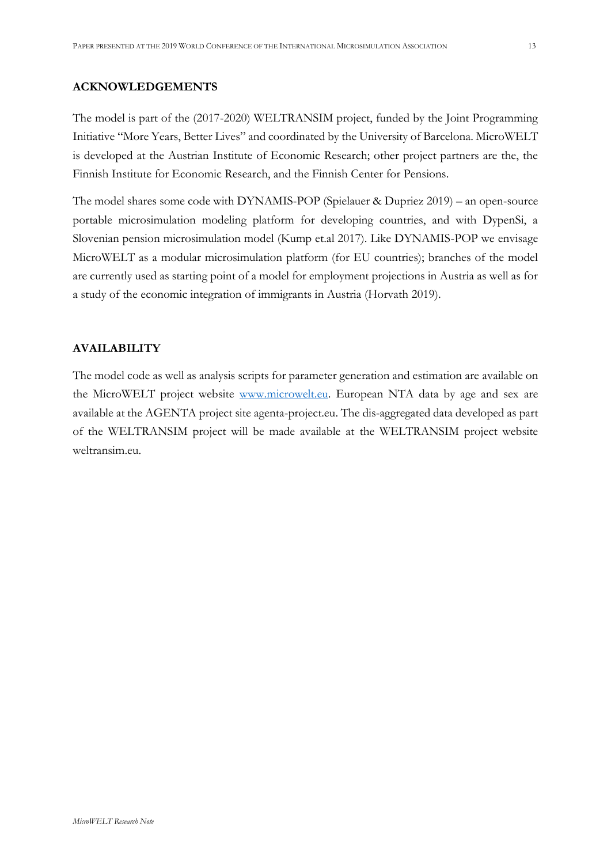## **ACKNOWLEDGEMENTS**

The model is part of the (2017-2020) WELTRANSIM project, funded by the Joint Programming Initiative "More Years, Better Lives" and coordinated by the University of Barcelona. MicroWELT is developed at the Austrian Institute of Economic Research; other project partners are the, the Finnish Institute for Economic Research, and the Finnish Center for Pensions.

The model shares some code with DYNAMIS-POP (Spielauer & Dupriez 2019) – an open-source portable microsimulation modeling platform for developing countries, and with DypenSi, a Slovenian pension microsimulation model (Kump et.al 2017). Like DYNAMIS-POP we envisage MicroWELT as a modular microsimulation platform (for EU countries); branches of the model are currently used as starting point of a model for employment projections in Austria as well as for a study of the economic integration of immigrants in Austria (Horvath 2019).

## **AVAILABILITY**

The model code as well as analysis scripts for parameter generation and estimation are available on the MicroWELT project website [www.microwelt.eu.](http://www.microwelt.eu/) European NTA data by age and sex are available at the AGENTA project site agenta-project.eu. The dis-aggregated data developed as part of the WELTRANSIM project will be made available at the WELTRANSIM project website weltransim.eu.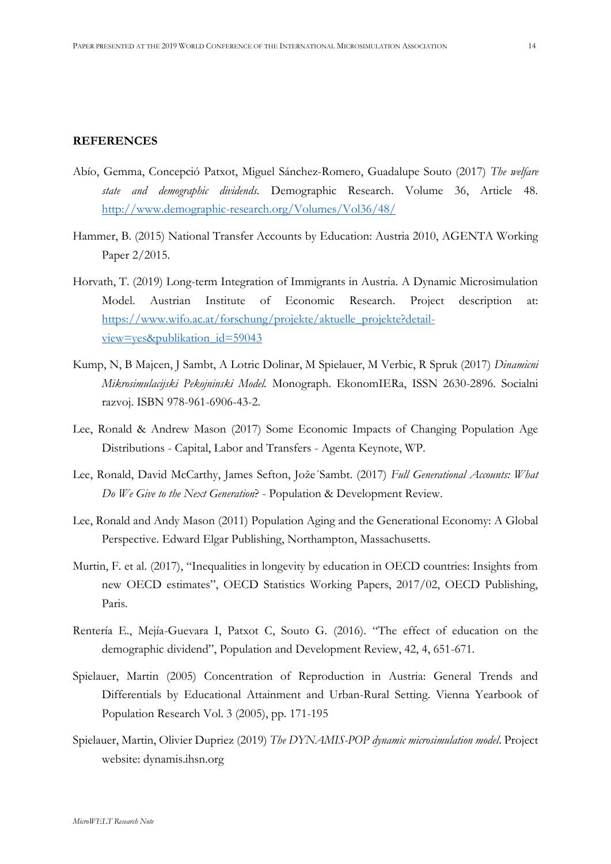#### **REFERENCES**

- Abío, Gemma, Concepció Patxot, Miguel Sánchez-Romero, Guadalupe Souto (2017) *The welfare state and demographic dividends.* Demographic Research. Volume 36, Article 48. <http://www.demographic-research.org/Volumes/Vol36/48/>
- Hammer, B. (2015) National Transfer Accounts by Education: Austria 2010, AGENTA Working Paper 2/2015.
- Horvath, T. (2019) Long-term Integration of Immigrants in Austria. A Dynamic Microsimulation Model. Austrian Institute of Economic Research. Project description at: [https://www.wifo.ac.at/forschung/projekte/aktuelle\\_projekte?detail](https://www.wifo.ac.at/forschung/projekte/aktuelle_projekte?detail-view=yes&publikation_id=59043)[view=yes&publikation\\_id=59043](https://www.wifo.ac.at/forschung/projekte/aktuelle_projekte?detail-view=yes&publikation_id=59043)
- Kump, N, B Majcen, J Sambt, A Lotric Dolinar, M Spielauer, M Verbic, R Spruk (2017) *Dinamicni Mikrosimulacijski Pekojninski Model.* Monograph. EkonomIERa, ISSN 2630-2896. Socialni razvoj. ISBN 978-961-6906-43-2.
- Lee, Ronald & Andrew Mason (2017) Some Economic Impacts of Changing Population Age Distributions - Capital, Labor and Transfers - Agenta Keynote, WP.
- Lee, Ronald, David McCarthy, James Sefton, Jože´Sambt. (2017) *Full Generational Accounts: What Do We Give to the Next Generation*? - Population & Development Review.
- Lee, Ronald and Andy Mason (2011) Population Aging and the Generational Economy: A Global Perspective. Edward Elgar Publishing, Northampton, Massachusetts.
- Murtin, F. et al. (2017), "Inequalities in longevity by education in OECD countries: Insights from new OECD estimates", OECD Statistics Working Papers, 2017/02, OECD Publishing, Paris.
- Rentería E., Mejía-Guevara I, Patxot C, Souto G. (2016). "The effect of education on the demographic dividend", Population and Development Review, 42, 4, 651-671.
- Spielauer, Martin (2005) Concentration of Reproduction in Austria: General Trends and Differentials by Educational Attainment and Urban-Rural Setting. Vienna Yearbook of Population Research Vol. 3 (2005), pp. 171-195
- Spielauer, Martin, Olivier Dupriez (2019) *The DYNAMIS-POP dynamic microsimulation model*. Project website: dynamis.ihsn.org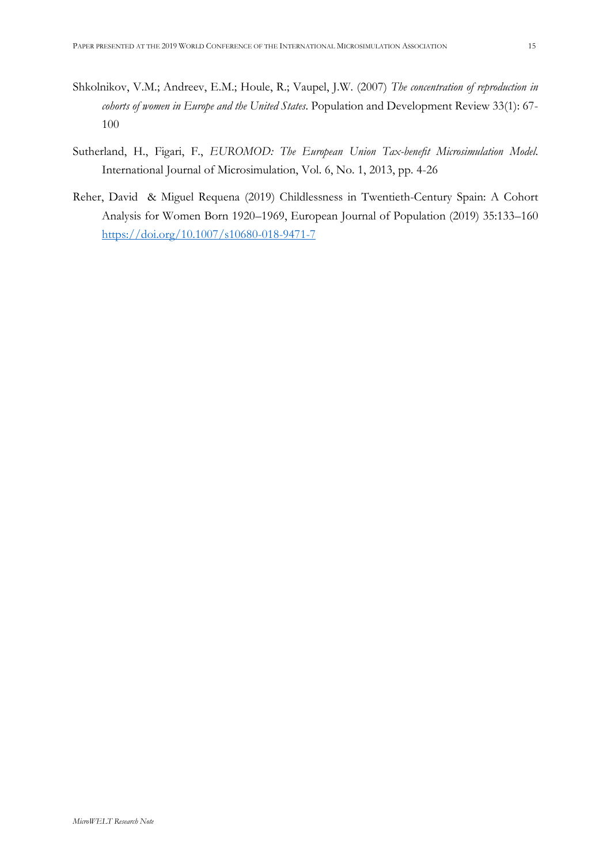- Shkolnikov, V.M.; Andreev, E.M.; Houle, R.; Vaupel, J.W. (2007) *The concentration of reproduction in cohorts of women in Europe and the United States*. Population and Development Review 33(1): 67- 100
- Sutherland, H., Figari, F., *EUROMOD: The European Union Tax-benefit Microsimulation Model*. International Journal of Microsimulation, Vol. 6, No. 1, 2013, pp. 4-26
- Reher, David & Miguel Requena (2019) Childlessness in Twentieth-Century Spain: A Cohort Analysis for Women Born 1920–1969, European Journal of Population (2019) 35:133–160 <https://doi.org/10.1007/s10680-018-9471-7>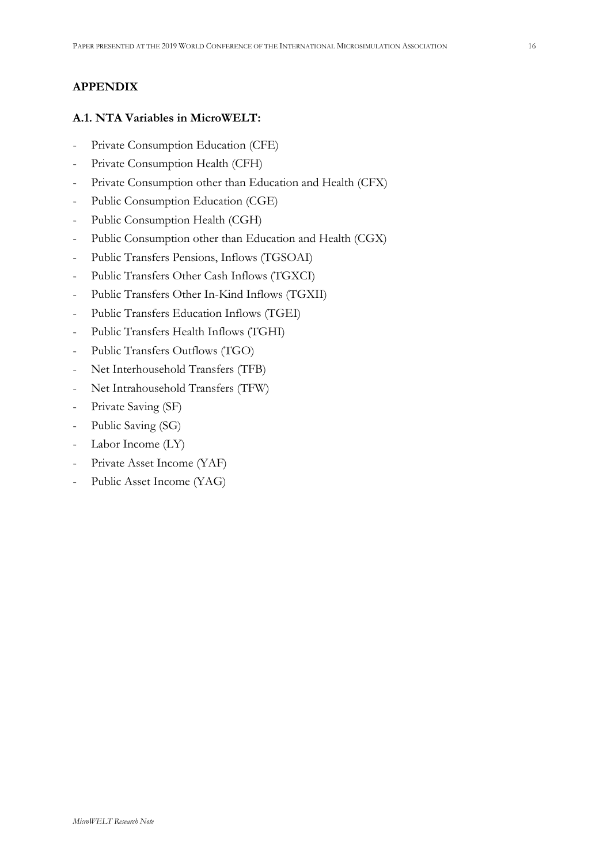## **APPENDIX**

### **A.1. NTA Variables in MicroWELT:**

- Private Consumption Education (CFE)
- Private Consumption Health (CFH)
- Private Consumption other than Education and Health (CFX)
- Public Consumption Education (CGE)
- Public Consumption Health (CGH)
- Public Consumption other than Education and Health (CGX)
- Public Transfers Pensions, Inflows (TGSOAI)
- Public Transfers Other Cash Inflows (TGXCI)
- Public Transfers Other In-Kind Inflows (TGXII)
- Public Transfers Education Inflows (TGEI)
- Public Transfers Health Inflows (TGHI)
- Public Transfers Outflows (TGO)
- Net Interhousehold Transfers (TFB)
- Net Intrahousehold Transfers (TFW)
- Private Saving (SF)
- Public Saving (SG)
- Labor Income (LY)
- Private Asset Income (YAF)
- Public Asset Income (YAG)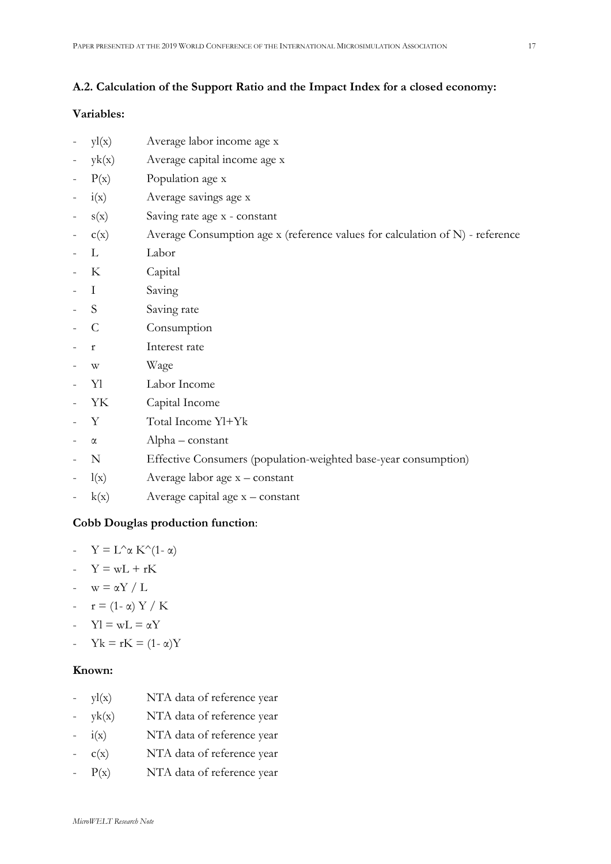## **A.2. Calculation of the Support Ratio and the Impact Index for a closed economy:**

## **Variables:**

- $y(x)$  Average labor income age x
- $-$  yk(x) Average capital income age x
- $P(x)$  Population age x
- i(x) Average savings age x
- $s(x)$  Saving rate age x constant
- c(x) Average Consumption age x (reference values for calculation of N) reference
- L Labor
- K Capital
- I Saving
- S Saving rate
- C Consumption
- r Interest rate
- w Wage
- Yl Labor Income
- YK Capital Income
- Y Total Income Yl+Yk
- α Alpha constant
- N Effective Consumers (population-weighted base-year consumption)
- $l(x)$  Average labor age  $x$  constant
- $k(x)$  Average capital age  $x$  constant

## **Cobb Douglas production function**:

- $Y = L^{\wedge} \alpha K^{\wedge} (1 \alpha)$
- $-Y = wL + rK$
- $w = \alpha Y / L$
- $r = (1 \alpha) Y / K$
- $Yl = wL = \alpha Y$
- $Yk = rK = (1 \alpha)Y$

## **Known:**

- yl(x) NTA data of reference year
- $yk(x)$  NTA data of reference year
- $i(x)$  NTA data of reference year
- c(x) NTA data of reference year
- P(x) NTA data of reference year